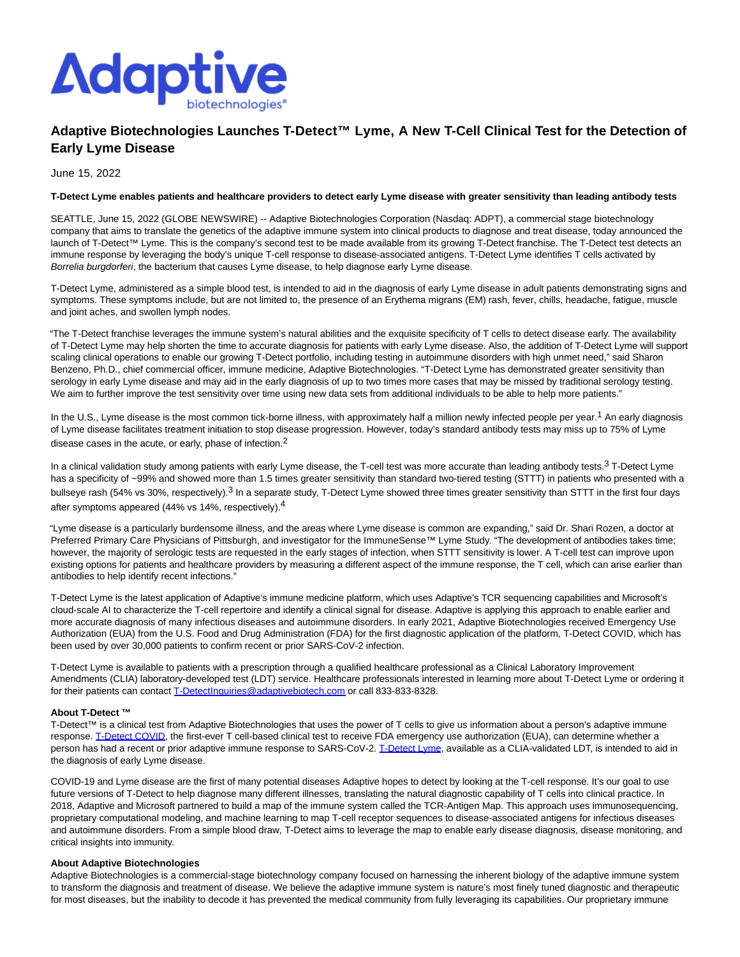

# **Adaptive Biotechnologies Launches T-Detect™ Lyme, A New T-Cell Clinical Test for the Detection of Early Lyme Disease**

June 15, 2022

### **T-Detect Lyme enables patients and healthcare providers to detect early Lyme disease with greater sensitivity than leading antibody tests**

SEATTLE, June 15, 2022 (GLOBE NEWSWIRE) -- Adaptive Biotechnologies Corporation (Nasdaq: ADPT), a commercial stage biotechnology company that aims to translate the genetics of the adaptive immune system into clinical products to diagnose and treat disease, today announced the launch of T-Detect™ Lyme. This is the company's second test to be made available from its growing T-Detect franchise. The T-Detect test detects an immune response by leveraging the body's unique T-cell response to disease-associated antigens. T-Detect Lyme identifies T cells activated by Borrelia burgdorferi, the bacterium that causes Lyme disease, to help diagnose early Lyme disease.

T-Detect Lyme, administered as a simple blood test, is intended to aid in the diagnosis of early Lyme disease in adult patients demonstrating signs and symptoms. These symptoms include, but are not limited to, the presence of an Erythema migrans (EM) rash, fever, chills, headache, fatigue, muscle and joint aches, and swollen lymph nodes.

"The T-Detect franchise leverages the immune system's natural abilities and the exquisite specificity of T cells to detect disease early. The availability of T-Detect Lyme may help shorten the time to accurate diagnosis for patients with early Lyme disease. Also, the addition of T-Detect Lyme will support scaling clinical operations to enable our growing T-Detect portfolio, including testing in autoimmune disorders with high unmet need," said Sharon Benzeno, Ph.D., chief commercial officer, immune medicine, Adaptive Biotechnologies. "T-Detect Lyme has demonstrated greater sensitivity than serology in early Lyme disease and may aid in the early diagnosis of up to two times more cases that may be missed by traditional serology testing. We aim to further improve the test sensitivity over time using new data sets from additional individuals to be able to help more patients."

In the U.S., Lyme disease is the most common tick-borne illness, with approximately half a million newly infected people per year.<sup>1</sup> An early diagnosis of Lyme disease facilitates treatment initiation to stop disease progression. However, today's standard antibody tests may miss up to 75% of Lyme disease cases in the acute, or early, phase of infection.2

In a clinical validation study among patients with early Lyme disease, the T-cell test was more accurate than leading antibody tests.<sup>3</sup> T-Detect Lyme has a specificity of ~99% and showed more than 1.5 times greater sensitivity than standard two-tiered testing (STTT) in patients who presented with a bullseye rash (54% vs 30%, respectively).<sup>3</sup> In a separate study, T-Detect Lyme showed three times greater sensitivity than STTT in the first four days after symptoms appeared (44% vs 14%, respectively).4

"Lyme disease is a particularly burdensome illness, and the areas where Lyme disease is common are expanding," said Dr. Shari Rozen, a doctor at Preferred Primary Care Physicians of Pittsburgh, and investigator for the ImmuneSense™ Lyme Study. "The development of antibodies takes time; however, the majority of serologic tests are requested in the early stages of infection, when STTT sensitivity is lower. A T-cell test can improve upon existing options for patients and healthcare providers by measuring a different aspect of the immune response, the T cell, which can arise earlier than antibodies to help identify recent infections."

T-Detect Lyme is the latest application of Adaptive's immune medicine platform, which uses Adaptive's TCR sequencing capabilities and Microsoft's cloud-scale AI to characterize the T-cell repertoire and identify a clinical signal for disease. Adaptive is applying this approach to enable earlier and more accurate diagnosis of many infectious diseases and autoimmune disorders. In early 2021, Adaptive Biotechnologies received Emergency Use Authorization (EUA) from the U.S. Food and Drug Administration (FDA) for the first diagnostic application of the platform, T-Detect COVID, which has been used by over 30,000 patients to confirm recent or prior SARS-CoV-2 infection.

T-Detect Lyme is available to patients with a prescription through a qualified healthcare professional as a Clinical Laboratory Improvement Amendments (CLIA) laboratory-developed test (LDT) service. Healthcare professionals interested in learning more about T-Detect Lyme or ordering it for their patients can contact [T-DetectInquiries@adaptivebiotech.com o](https://www.globenewswire.com/Tracker?data=TWsak2o1-atW6S2kkrIwfq6Lh28l6l_cb7Ak8hGo3Vd5VLRM5UgWsl6b0RMU3HS75iMfjj0YoK-Hr1K-SxTfopK0ThEKswJ-uxXuk9PH0JHxDplGfnR-BkF9o0XufjgPGg0UQ6iAzehaejHxhK-8_w==)r call 833-833-8328.

## **About T-Detect ™**

T-Detect™ is a clinical test from Adaptive Biotechnologies that uses the power of T cells to give us information about a person's adaptive immune response[. T-Detect COVID,](https://www.globenewswire.com/Tracker?data=TWsak2o1-atW6S2kkrIwfk7-XW-1D3Opdd8Q5w9tKYjaHEYtiZUgtn06S1dfnWSOiMCoFzyUHFVAxd5iDHUStheYsr-sL8Mbv3K2ZK33zyPkkwQCaa-29sYCALxJhVhL) the first-ever T cell-based clinical test to receive FDA emergency use authorization (EUA), can determine whether a person has had a recent or prior adaptive immune response to SARS-CoV-2. [T-Detect Lyme,](https://www.globenewswire.com/Tracker?data=TWsak2o1-atW6S2kkrIwfsr5FAKsnj38-dunF1frWozFXRqcZ_2AagV6b3sY5iiNCbJXCEZhIp9MXo1PlmXaogki0zbZ7ihfCKfYuioveHs=) available as a CLIA-validated LDT, is intended to aid in the diagnosis of early Lyme disease.

COVID-19 and Lyme disease are the first of many potential diseases Adaptive hopes to detect by looking at the T-cell response. It's our goal to use future versions of T-Detect to help diagnose many different illnesses, translating the natural diagnostic capability of T cells into clinical practice. In 2018, Adaptive and Microsoft partnered to build a map of the immune system called the TCR-Antigen Map. This approach uses immunosequencing, proprietary computational modeling, and machine learning to map T-cell receptor sequences to disease-associated antigens for infectious diseases and autoimmune disorders. From a simple blood draw, T-Detect aims to leverage the map to enable early disease diagnosis, disease monitoring, and critical insights into immunity.

#### **About Adaptive Biotechnologies**

Adaptive Biotechnologies is a commercial-stage biotechnology company focused on harnessing the inherent biology of the adaptive immune system to transform the diagnosis and treatment of disease. We believe the adaptive immune system is nature's most finely tuned diagnostic and therapeutic for most diseases, but the inability to decode it has prevented the medical community from fully leveraging its capabilities. Our proprietary immune